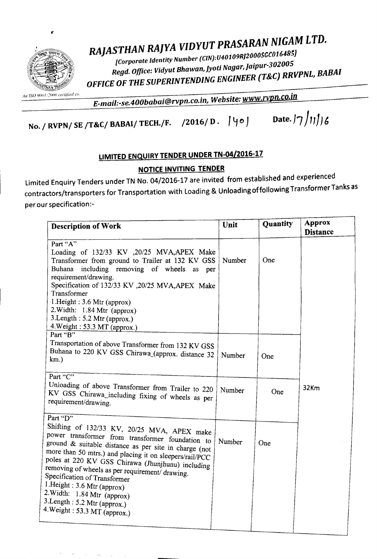

## *RAJASTHAN RAJYA VIDYUT PRASARAN NIGAM LTD.*

*[Corporate Identity Number (CIN):U40109RJ2000SGC01648~) Regd. Office: Vidyut Bhawan, lyoU Nagar,laipur-30Z005 OFFICE* OF *THE SUPERINTENDING ENGINEER (T&C) RRVPNL, BABAI*

*E\_mail:-se.400babai@rvpn.co.in. Website:* www.rvpn.co.in

No. / RVPN/ SE /T&C/ BABAI/ TECH./F. /2016/ D.  $|\psi \circ \rangle$  Date.  $|\gamma \rangle$ 11/6

## LIMITED ENQUIRY TENDER UNDER TN-04/2016-17

## NOTICE INVITING TENDER

Limited Enquiry Tenders under TN No. 04/2016-17 are invited from established and experienced contractors/transporters for Transportation with Loading & Unloading of following Transformer Tanks as per our specification:-

| <b>Description of Work</b>                                                                                                                                                                                                                                                                                                                                                                                                                                                                             | Unit   | Quantity | <b>Approx</b><br><b>Distance</b> |
|--------------------------------------------------------------------------------------------------------------------------------------------------------------------------------------------------------------------------------------------------------------------------------------------------------------------------------------------------------------------------------------------------------------------------------------------------------------------------------------------------------|--------|----------|----------------------------------|
| Part "A"<br>Loading of 132/33 KV , 20/25 MVA, APEX Make<br>Transformer from ground to Trailer at 132 KV GSS<br>including removing of wheels<br>Buhana<br>as per<br>requirement/drawing.<br>Specification of 132/33 KV , 20/25 MVA, APEX Make<br>Transformer<br>1.Height: 3.6 Mtr (approx)<br>2. Width: 1.84 Mtr (approx)<br>3. Length: 5.2 Mtr (approx.)<br>4. Weight: 53.3 MT (approx.)                                                                                                               | Number | One      |                                  |
| Part "B"<br>Transportation of above Transformer from 132 KV GSS<br>Buhana to 220 KV GSS Chirawa_(approx. distance 32<br>$km.$ )<br>Part " $\overline{C}$ "                                                                                                                                                                                                                                                                                                                                             | Number | One      |                                  |
| Unloading of above Transformer from Trailer to 220<br>KV GSS Chirawa_including fixing of wheels as per<br>requirement/drawing.                                                                                                                                                                                                                                                                                                                                                                         | Number | One      | 32Km                             |
| Part "D"<br>Shifting of 132/33 KV, 20/25 MVA, APEX make<br>power transformer from transformer foundation to<br>ground $\&$ suitable distance as per site in charge (not<br>more than 50 mtrs.) and placing it on sleepers/rail/PCC<br>poles at 220 KV GSS Chirawa (Jhunjhunu) including<br>removing of wheels as per requirement/ drawing.<br>Specification of Transformer<br>1.Height: 3.6 Mtr (approx)<br>2. Width: 1.84 Mtr (approx)<br>3.Length: 5.2 Mtr (approx.)<br>4. Weight: 53.3 MT (approx.) | Number | One      |                                  |